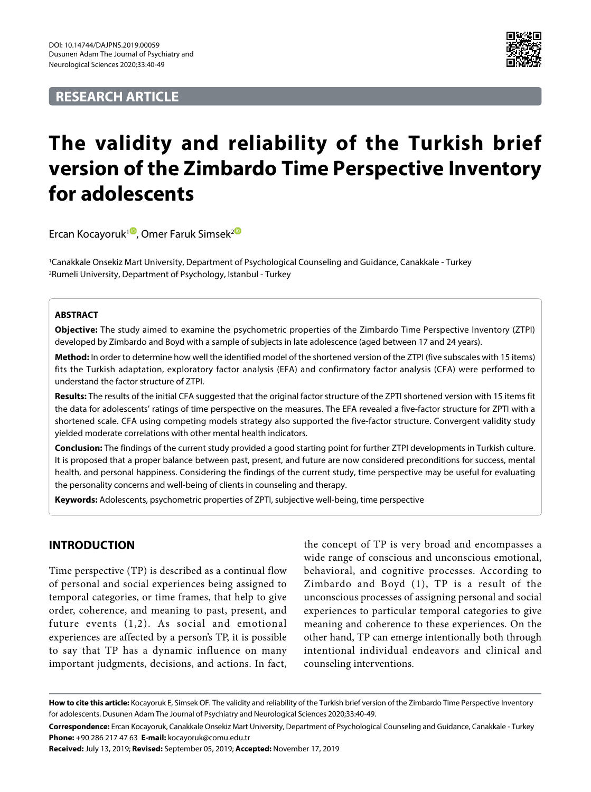# **RESEARCH ARTICLE**



# **The validity and reliability of the Turkish brief version of the Zimbardo Time Perspective Inventory for adolescents**

Ercan Kocayoruk<sup>1</sup>, Omer Faruk Simsek<sup>2</sub></sup>

1 Canakkale Onsekiz Mart University, Department of Psychological Counseling and Guidance, Canakkale - Turkey 2 Rumeli University, Department of Psychology, Istanbul - Turkey

#### **ABSTRACT**

**Objective:** The study aimed to examine the psychometric properties of the Zimbardo Time Perspective Inventory (ZTPI) developed by Zimbardo and Boyd with a sample of subjects in late adolescence (aged between 17 and 24 years).

**Method:** In order to determine how well the identified model of the shortened version of the ZTPI (five subscales with 15 items) fits the Turkish adaptation, exploratory factor analysis (EFA) and confirmatory factor analysis (CFA) were performed to understand the factor structure of ZTPI.

**Results:** The results of the initial CFA suggested that the original factor structure of the ZPTI shortened version with 15 items fit the data for adolescents' ratings of time perspective on the measures. The EFA revealed a five-factor structure for ZPTI with a shortened scale. CFA using competing models strategy also supported the five-factor structure. Convergent validity study yielded moderate correlations with other mental health indicators.

**Conclusion:** The findings of the current study provided a good starting point for further ZTPI developments in Turkish culture. It is proposed that a proper balance between past, present, and future are now considered preconditions for success, mental health, and personal happiness. Considering the findings of the current study, time perspective may be useful for evaluating the personality concerns and well-being of clients in counseling and therapy.

**Keywords:** Adolescents, psychometric properties of ZPTI, subjective well-being, time perspective

## **INTRODUCTION**

Time perspective (TP) is described as a continual flow of personal and social experiences being assigned to temporal categories, or time frames, that help to give order, coherence, and meaning to past, present, and future events (1,2). As social and emotional experiences are affected by a person's TP, it is possible to say that TP has a dynamic influence on many important judgments, decisions, and actions. In fact,

the concept of TP is very broad and encompasses a wide range of conscious and unconscious emotional, behavioral, and cognitive processes. According to Zimbardo and Boyd (1), TP is a result of the unconscious processes of assigning personal and social experiences to particular temporal categories to give meaning and coherence to these experiences. On the other hand, TP can emerge intentionally both through intentional individual endeavors and clinical and counseling interventions.

**Received:** July 13, 2019; **Revised:** September 05, 2019; **Accepted:** November 17, 2019

How to cite this article: Kocayoruk E, Simsek OF. The validity and reliability of the Turkish brief version of the Zimbardo Time Perspective Inventory for adolescents. Dusunen Adam The Journal of Psychiatry and Neurological Sciences 2020;33:40-49.

**Correspondence:** Ercan Kocayoruk, Canakkale Onsekiz Mart University, Department of Psychological Counseling and Guidance, Canakkale - Turkey **Phone:** +90 286 217 47 63 **E-mail:** kocayoruk@comu.edu.tr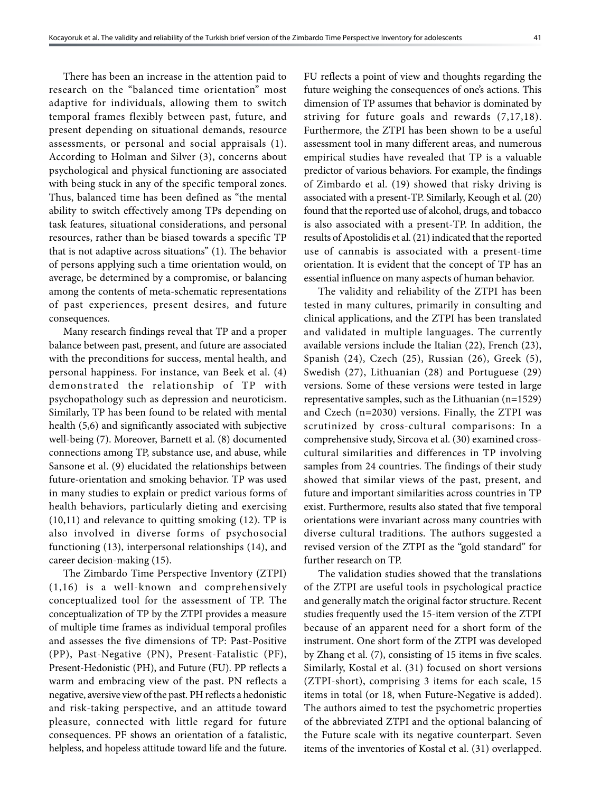There has been an increase in the attention paid to research on the "balanced time orientation" most adaptive for individuals, allowing them to switch temporal frames flexibly between past, future, and present depending on situational demands, resource assessments, or personal and social appraisals (1). According to Holman and Silver (3), concerns about psychological and physical functioning are associated with being stuck in any of the specific temporal zones. Thus, balanced time has been defined as "the mental ability to switch effectively among TPs depending on task features, situational considerations, and personal resources, rather than be biased towards a specific TP that is not adaptive across situations" (1). The behavior of persons applying such a time orientation would, on average, be determined by a compromise, or balancing among the contents of meta-schematic representations of past experiences, present desires, and future consequences.

Many research findings reveal that TP and a proper balance between past, present, and future are associated with the preconditions for success, mental health, and personal happiness. For instance, van Beek et al. (4) demonstrated the relationship of TP with psychopathology such as depression and neuroticism. Similarly, TP has been found to be related with mental health (5,6) and significantly associated with subjective well-being (7). Moreover, Barnett et al. (8) documented connections among TP, substance use, and abuse, while Sansone et al. (9) elucidated the relationships between future-orientation and smoking behavior. TP was used in many studies to explain or predict various forms of health behaviors, particularly dieting and exercising (10,11) and relevance to quitting smoking (12). TP is also involved in diverse forms of psychosocial functioning (13), interpersonal relationships (14), and career decision-making (15).

The Zimbardo Time Perspective Inventory (ZTPI) (1,16) is a well-known and comprehensively conceptualized tool for the assessment of TP. The conceptualization of TP by the ZTPI provides a measure of multiple time frames as individual temporal profiles and assesses the five dimensions of TP: Past-Positive (PP), Past-Negative (PN), Present-Fatalistic (PF), Present-Hedonistic (PH), and Future (FU). PP reflects a warm and embracing view of the past. PN reflects a negative, aversive view of the past. PH reflects a hedonistic and risk-taking perspective, and an attitude toward pleasure, connected with little regard for future consequences. PF shows an orientation of a fatalistic, helpless, and hopeless attitude toward life and the future. FU reflects a point of view and thoughts regarding the future weighing the consequences of one's actions. This dimension of TP assumes that behavior is dominated by striving for future goals and rewards (7,17,18). Furthermore, the ZTPI has been shown to be a useful assessment tool in many different areas, and numerous empirical studies have revealed that TP is a valuable predictor of various behaviors. For example, the findings of Zimbardo et al. (19) showed that risky driving is associated with a present-TP. Similarly, Keough et al. (20) found that the reported use of alcohol, drugs, and tobacco is also associated with a present-TP. In addition, the results of Apostolidis et al. (21) indicated that the reported use of cannabis is associated with a present-time orientation. It is evident that the concept of TP has an essential influence on many aspects of human behavior.

The validity and reliability of the ZTPI has been tested in many cultures, primarily in consulting and clinical applications, and the ZTPI has been translated and validated in multiple languages. The currently available versions include the Italian (22), French (23), Spanish (24), Czech (25), Russian (26), Greek (5), Swedish (27), Lithuanian (28) and Portuguese (29) versions. Some of these versions were tested in large representative samples, such as the Lithuanian (n=1529) and Czech (n=2030) versions. Finally, the ZTPI was scrutinized by cross-cultural comparisons: In a comprehensive study, Sircova et al. (30) examined crosscultural similarities and differences in TP involving samples from 24 countries. The findings of their study showed that similar views of the past, present, and future and important similarities across countries in TP exist. Furthermore, results also stated that five temporal orientations were invariant across many countries with diverse cultural traditions. The authors suggested a revised version of the ZTPI as the "gold standard" for further research on TP.

The validation studies showed that the translations of the ZTPI are useful tools in psychological practice and generally match the original factor structure. Recent studies frequently used the 15-item version of the ZTPI because of an apparent need for a short form of the instrument. One short form of the ZTPI was developed by Zhang et al. (7), consisting of 15 items in five scales. Similarly, Kostal et al. (31) focused on short versions (ZTPI-short), comprising 3 items for each scale, 15 items in total (or 18, when Future-Negative is added). The authors aimed to test the psychometric properties of the abbreviated ZTPI and the optional balancing of the Future scale with its negative counterpart. Seven items of the inventories of Kostal et al. (31) overlapped.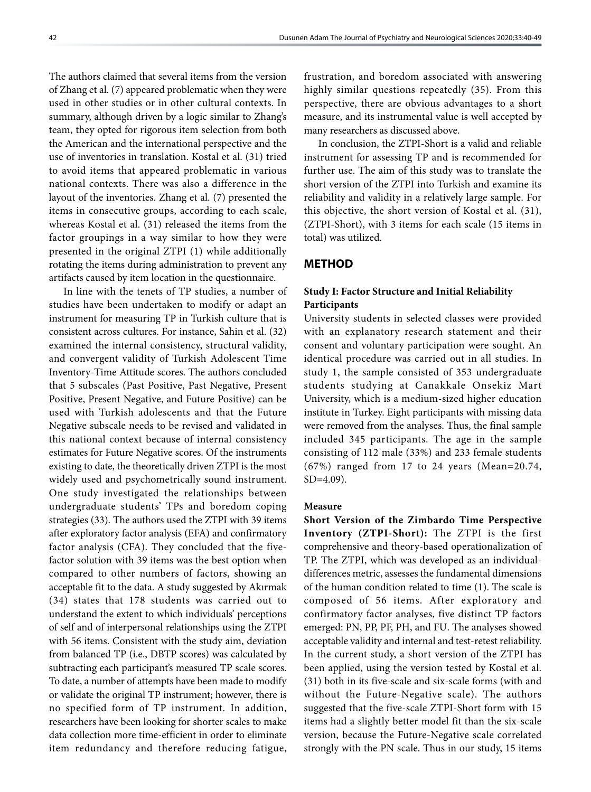The authors claimed that several items from the version of Zhang et al. (7) appeared problematic when they were used in other studies or in other cultural contexts. In summary, although driven by a logic similar to Zhang's team, they opted for rigorous item selection from both the American and the international perspective and the use of inventories in translation. Kostal et al. (31) tried to avoid items that appeared problematic in various national contexts. There was also a difference in the layout of the inventories. Zhang et al. (7) presented the items in consecutive groups, according to each scale, whereas Kostal et al. (31) released the items from the factor groupings in a way similar to how they were presented in the original ZTPI (1) while additionally rotating the items during administration to prevent any artifacts caused by item location in the questionnaire.

In line with the tenets of TP studies, a number of studies have been undertaken to modify or adapt an instrument for measuring TP in Turkish culture that is consistent across cultures. For instance, Sahin et al. (32) examined the internal consistency, structural validity, and convergent validity of Turkish Adolescent Time Inventory-Time Attitude scores. The authors concluded that 5 subscales (Past Positive, Past Negative, Present Positive, Present Negative, and Future Positive) can be used with Turkish adolescents and that the Future Negative subscale needs to be revised and validated in this national context because of internal consistency estimates for Future Negative scores. Of the instruments existing to date, the theoretically driven ZTPI is the most widely used and psychometrically sound instrument. One study investigated the relationships between undergraduate students' TPs and boredom coping strategies (33). The authors used the ZTPI with 39 items after exploratory factor analysis (EFA) and confirmatory factor analysis (CFA). They concluded that the fivefactor solution with 39 items was the best option when compared to other numbers of factors, showing an acceptable fit to the data. A study suggested by Akırmak (34) states that 178 students was carried out to understand the extent to which individuals' perceptions of self and of interpersonal relationships using the ZTPI with 56 items. Consistent with the study aim, deviation from balanced TP (i.e., DBTP scores) was calculated by subtracting each participant's measured TP scale scores. To date, a number of attempts have been made to modify or validate the original TP instrument; however, there is no specified form of TP instrument. In addition, researchers have been looking for shorter scales to make data collection more time-efficient in order to eliminate item redundancy and therefore reducing fatigue,

frustration, and boredom associated with answering highly similar questions repeatedly (35). From this perspective, there are obvious advantages to a short measure, and its instrumental value is well accepted by many researchers as discussed above.

In conclusion, the ZTPI-Short is a valid and reliable instrument for assessing TP and is recommended for further use. The aim of this study was to translate the short version of the ZTPI into Turkish and examine its reliability and validity in a relatively large sample. For this objective, the short version of Kostal et al. (31), (ZTPI-Short), with 3 items for each scale (15 items in total) was utilized.

#### **METHOD**

## **Study I: Factor Structure and Initial Reliability Participants**

University students in selected classes were provided with an explanatory research statement and their consent and voluntary participation were sought. An identical procedure was carried out in all studies. In study 1, the sample consisted of 353 undergraduate students studying at Canakkale Onsekiz Mart University, which is a medium-sized higher education institute in Turkey. Eight participants with missing data were removed from the analyses. Thus, the final sample included 345 participants. The age in the sample consisting of 112 male (33%) and 233 female students (67%) ranged from 17 to 24 years (Mean=20.74, SD=4.09).

#### **Measure**

**Short Version of the Zimbardo Time Perspective Inventory (ZTPI-Short):** The ZTPI is the first comprehensive and theory-based operationalization of TP. The ZTPI, which was developed as an individualdifferences metric, assesses the fundamental dimensions of the human condition related to time (1). The scale is composed of 56 items. After exploratory and confirmatory factor analyses, five distinct TP factors emerged: PN, PP, PF, PH, and FU. The analyses showed acceptable validity and internal and test-retest reliability. In the current study, a short version of the ZTPI has been applied, using the version tested by Kostal et al. (31) both in its five-scale and six-scale forms (with and without the Future-Negative scale). The authors suggested that the five-scale ZTPI-Short form with 15 items had a slightly better model fit than the six-scale version, because the Future-Negative scale correlated strongly with the PN scale. Thus in our study, 15 items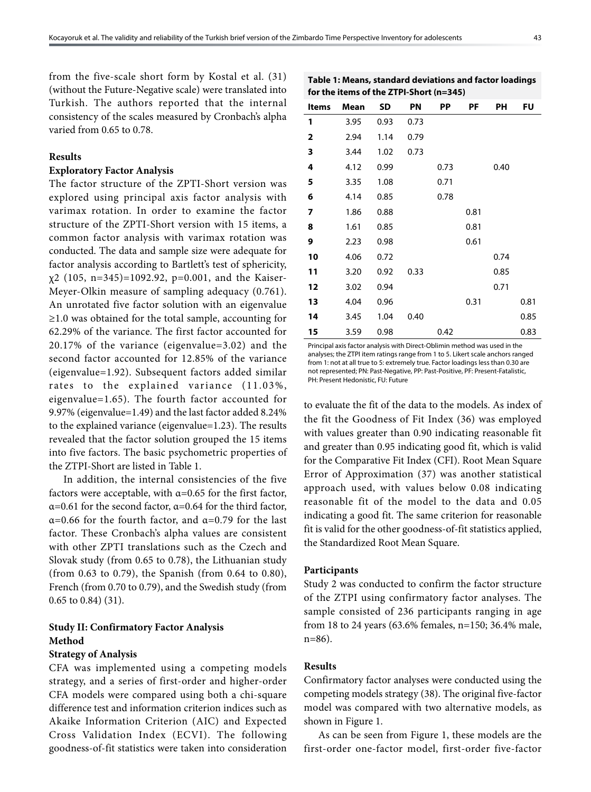from the five-scale short form by Kostal et al. (31) (without the Future-Negative scale) were translated into Turkish. The authors reported that the internal consistency of the scales measured by Cronbach's alpha varied from 0.65 to 0.78.

#### **Results**

#### **Exploratory Factor Analysis**

The factor structure of the ZPTI-Short version was explored using principal axis factor analysis with varimax rotation. In order to examine the factor structure of the ZPTI-Short version with 15 items, a common factor analysis with varimax rotation was conducted. The data and sample size were adequate for factor analysis according to Bartlett's test of sphericity,  $x^{2}$  (105, n=345)=1092.92, p=0.001, and the Kaiser-Meyer-Olkin measure of sampling adequacy (0.761). An unrotated five factor solution with an eigenvalue ≥1.0 was obtained for the total sample, accounting for 62.29% of the variance. The first factor accounted for 20.17% of the variance (eigenvalue=3.02) and the second factor accounted for 12.85% of the variance (eigenvalue=1.92). Subsequent factors added similar rates to the explained variance (11.03%, eigenvalue=1.65). The fourth factor accounted for 9.97% (eigenvalue=1.49) and the last factor added 8.24% to the explained variance (eigenvalue=1.23). The results revealed that the factor solution grouped the 15 items into five factors. The basic psychometric properties of the ZTPI-Short are listed in Table 1.

In addition, the internal consistencies of the five factors were acceptable, with  $\alpha$ =0.65 for the first factor,  $\alpha$ =0.61 for the second factor,  $\alpha$ =0.64 for the third factor,  $\alpha$ =0.66 for the fourth factor, and  $\alpha$ =0.79 for the last factor. These Cronbach's alpha values are consistent with other ZPTI translations such as the Czech and Slovak study (from 0.65 to 0.78), the Lithuanian study (from 0.63 to 0.79), the Spanish (from 0.64 to 0.80), French (from 0.70 to 0.79), and the Swedish study (from 0.65 to 0.84) (31).

# **Study II: Confirmatory Factor Analysis Method**

## **Strategy of Analysis**

CFA was implemented using a competing models strategy, and a series of first-order and higher-order CFA models were compared using both a chi-square difference test and information criterion indices such as Akaike Information Criterion (AIC) and Expected Cross Validation Index (ECVI). The following goodness-of-fit statistics were taken into consideration

**Table 1: Means, standard deviations and factor loadings for the items of the ZTPI-Short (n=345)**

| Items        | Mean | SD   | PN   | PP   | PF   | PН   | FU   |
|--------------|------|------|------|------|------|------|------|
| 1            | 3.95 | 0.93 | 0.73 |      |      |      |      |
| $\mathbf{2}$ | 2.94 | 1.14 | 0.79 |      |      |      |      |
| 3            | 3.44 | 1.02 | 0.73 |      |      |      |      |
| 4            | 4.12 | 0.99 |      | 0.73 |      | 0.40 |      |
| 5            | 3.35 | 1.08 |      | 0.71 |      |      |      |
| 6            | 4.14 | 0.85 |      | 0.78 |      |      |      |
| 7            | 1.86 | 0.88 |      |      | 0.81 |      |      |
| 8            | 1.61 | 0.85 |      |      | 0.81 |      |      |
| 9            | 2.23 | 0.98 |      |      | 0.61 |      |      |
| 10           | 4.06 | 0.72 |      |      |      | 0.74 |      |
| 11           | 3.20 | 0.92 | 0.33 |      |      | 0.85 |      |
| 12           | 3.02 | 0.94 |      |      |      | 0.71 |      |
| 13           | 4.04 | 0.96 |      |      | 0.31 |      | 0.81 |
| 14           | 3.45 | 1.04 | 0.40 |      |      |      | 0.85 |
| 15           | 3.59 | 0.98 |      | 0.42 |      |      | 0.83 |

Principal axis factor analysis with Direct-Oblimin method was used in the analyses; the ZTPI item ratings range from 1 to 5. Likert scale anchors ranged from 1: not at all true to 5: extremely true. Factor loadings less than 0.30 are not represented; PN: Past-Negative, PP: Past-Positive, PF: Present-Fatalistic, PH: Present Hedonistic, FU: Future

to evaluate the fit of the data to the models. As index of the fit the Goodness of Fit Index (36) was employed with values greater than 0.90 indicating reasonable fit and greater than 0.95 indicating good fit, which is valid for the Comparative Fit Index (CFI). Root Mean Square Error of Approximation (37) was another statistical approach used, with values below 0.08 indicating reasonable fit of the model to the data and 0.05 indicating a good fit. The same criterion for reasonable fit is valid for the other goodness-of-fit statistics applied, the Standardized Root Mean Square.

#### **Participants**

Study 2 was conducted to confirm the factor structure of the ZTPI using confirmatory factor analyses. The sample consisted of 236 participants ranging in age from 18 to 24 years (63.6% females, n=150; 36.4% male, n=86).

#### **Results**

Confirmatory factor analyses were conducted using the competing models strategy (38). The original five-factor model was compared with two alternative models, as shown in Figure 1.

As can be seen from Figure 1, these models are the first-order one-factor model, first-order five-factor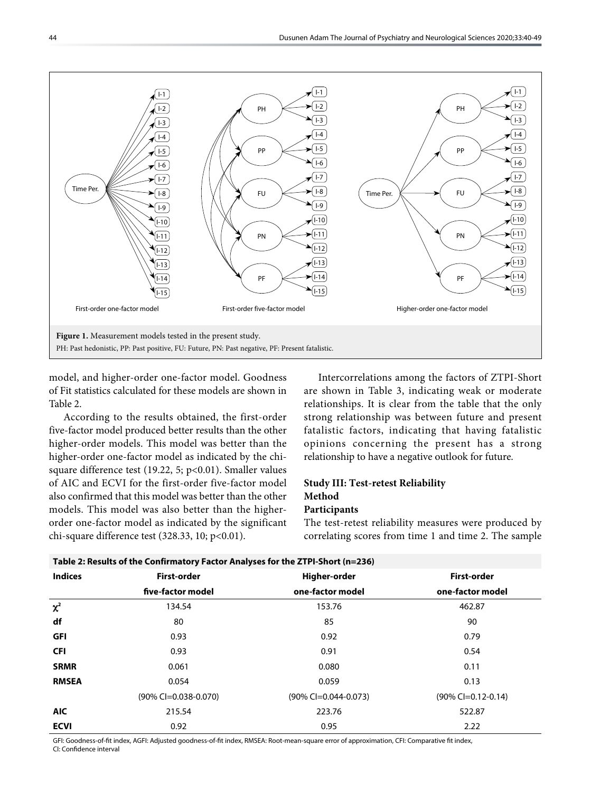

model, and higher-order one-factor model. Goodness of Fit statistics calculated for these models are shown in Table 2.

According to the results obtained, the first-order five-factor model produced better results than the other higher-order models. This model was better than the higher-order one-factor model as indicated by the chisquare difference test (19.22, 5; p<0.01). Smaller values of AIC and ECVI for the first-order five-factor model also confirmed that this model was better than the other models. This model was also better than the higherorder one-factor model as indicated by the significant chi-square difference test  $(328.33, 10; p<0.01)$ .

Intercorrelations among the factors of ZTPI-Short are shown in Table 3, indicating weak or moderate relationships. It is clear from the table that the only strong relationship was between future and present fatalistic factors, indicating that having fatalistic opinions concerning the present has a strong relationship to have a negative outlook for future.

# **Study III: Test-retest Reliability Method**

**Participants**

The test-retest reliability measures were produced by correlating scores from time 1 and time 2. The sample

| Table 2: Results of the Confirmatory Factor Analyses for the ZTPI-Short (n=236) |                         |                         |                       |  |  |  |  |
|---------------------------------------------------------------------------------|-------------------------|-------------------------|-----------------------|--|--|--|--|
| <b>Indices</b>                                                                  | First-order             | Higher-order            | First-order           |  |  |  |  |
|                                                                                 | five-factor model       | one-factor model        | one-factor model      |  |  |  |  |
| $\chi^2$                                                                        | 134.54                  | 153.76                  | 462.87                |  |  |  |  |
| df                                                                              | 80                      | 85                      | 90                    |  |  |  |  |
| <b>GFI</b>                                                                      | 0.93                    | 0.92                    | 0.79                  |  |  |  |  |
| <b>CFI</b>                                                                      | 0.93                    | 0.91                    | 0.54                  |  |  |  |  |
| <b>SRMR</b>                                                                     | 0.061                   | 0.080                   | 0.11                  |  |  |  |  |
| <b>RMSEA</b>                                                                    | 0.054                   | 0.059                   | 0.13                  |  |  |  |  |
|                                                                                 | $(90\%$ CI=0.038-0.070) | $(90\%$ Cl=0.044-0.073) | $(90\%$ Cl=0.12-0.14) |  |  |  |  |
| <b>AIC</b>                                                                      | 215.54                  | 223.76                  | 522.87                |  |  |  |  |
| <b>ECVI</b>                                                                     | 0.92                    | 0.95                    | 2.22                  |  |  |  |  |

GFI: Goodness-of-fit index, AGFI: Adjusted goodness-of-fit index, RMSEA: Root-mean-square error of approximation, CFI: Comparative fit index, CI: Confidence interval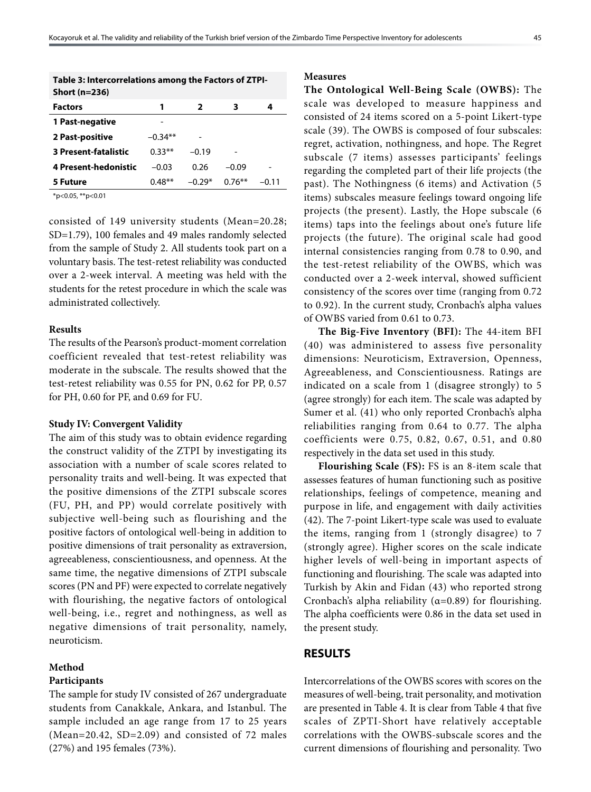| Table 3: Intercorrelations among the Factors of ZTPI-<br>Short (n=236) |           |          |           |         |
|------------------------------------------------------------------------|-----------|----------|-----------|---------|
| <b>Factors</b>                                                         | 1         | 2        | 3         | 4       |
| 1 Past-negative                                                        |           |          |           |         |
| 2 Past-positive                                                        | $-0.34**$ |          |           |         |
| <b>3 Present-fatalistic</b>                                            | $0.33**$  | $-0.19$  |           |         |
| <b>4 Present-hedonistic</b>                                            | $-0.03$   | 0.26     | $-0.09$   |         |
| 5 Future                                                               | $0.48**$  | $-0.29*$ | $0.76***$ | $-0.11$ |
| $*_{n}$ / 0 0 $*_{n}$ / 0 0 1                                          |           |          |           |         |

\*p<0.05, \*\*p<0.01

consisted of 149 university students (Mean=20.28; SD=1.79), 100 females and 49 males randomly selected from the sample of Study 2. All students took part on a voluntary basis. The test-retest reliability was conducted over a 2-week interval. A meeting was held with the students for the retest procedure in which the scale was administrated collectively.

#### **Results**

The results of the Pearson's product-moment correlation coefficient revealed that test-retest reliability was moderate in the subscale. The results showed that the test-retest reliability was 0.55 for PN, 0.62 for PP, 0.57 for PH, 0.60 for PF, and 0.69 for FU.

#### **Study IV: Convergent Validity**

The aim of this study was to obtain evidence regarding the construct validity of the ZTPI by investigating its association with a number of scale scores related to personality traits and well-being. It was expected that the positive dimensions of the ZTPI subscale scores (FU, PH, and PP) would correlate positively with subjective well-being such as flourishing and the positive factors of ontological well-being in addition to positive dimensions of trait personality as extraversion, agreeableness, conscientiousness, and openness. At the same time, the negative dimensions of ZTPI subscale scores (PN and PF) were expected to correlate negatively with flourishing, the negative factors of ontological well-being, i.e., regret and nothingness, as well as negative dimensions of trait personality, namely, neuroticism.

#### **Method**

#### **Participants**

The sample for study IV consisted of 267 undergraduate students from Canakkale, Ankara, and Istanbul. The sample included an age range from 17 to 25 years (Mean=20.42, SD=2.09) and consisted of 72 males (27%) and 195 females (73%).

#### **Measures**

**The Ontological Well-Being Scale (OWBS):** The scale was developed to measure happiness and consisted of 24 items scored on a 5-point Likert-type scale (39). The OWBS is composed of four subscales: regret, activation, nothingness, and hope. The Regret subscale (7 items) assesses participants' feelings regarding the completed part of their life projects (the past). The Nothingness (6 items) and Activation (5 items) subscales measure feelings toward ongoing life projects (the present). Lastly, the Hope subscale (6 items) taps into the feelings about one's future life projects (the future). The original scale had good internal consistencies ranging from 0.78 to 0.90, and the test-retest reliability of the OWBS, which was conducted over a 2-week interval, showed sufficient consistency of the scores over time (ranging from 0.72 to 0.92). In the current study, Cronbach's alpha values of OWBS varied from 0.61 to 0.73.

**The Big-Five Inventory (BFI):** The 44-item BFI (40) was administered to assess five personality dimensions: Neuroticism, Extraversion, Openness, Agreeableness, and Conscientiousness. Ratings are indicated on a scale from 1 (disagree strongly) to 5 (agree strongly) for each item. The scale was adapted by Sumer et al. (41) who only reported Cronbach's alpha reliabilities ranging from 0.64 to 0.77. The alpha coefficients were 0.75, 0.82, 0.67, 0.51, and 0.80 respectively in the data set used in this study.

**Flourishing Scale (FS):** FS is an 8-item scale that assesses features of human functioning such as positive relationships, feelings of competence, meaning and purpose in life, and engagement with daily activities (42). The 7-point Likert-type scale was used to evaluate the items, ranging from 1 (strongly disagree) to 7 (strongly agree). Higher scores on the scale indicate higher levels of well-being in important aspects of functioning and flourishing. The scale was adapted into Turkish by Akin and Fidan (43) who reported strong Cronbach's alpha reliability ( $\alpha$ =0.89) for flourishing. The alpha coefficients were 0.86 in the data set used in the present study.

#### **RESULTS**

Intercorrelations of the OWBS scores with scores on the measures of well-being, trait personality, and motivation are presented in Table 4. It is clear from Table 4 that five scales of ZPTI-Short have relatively acceptable correlations with the OWBS-subscale scores and the current dimensions of flourishing and personality. Two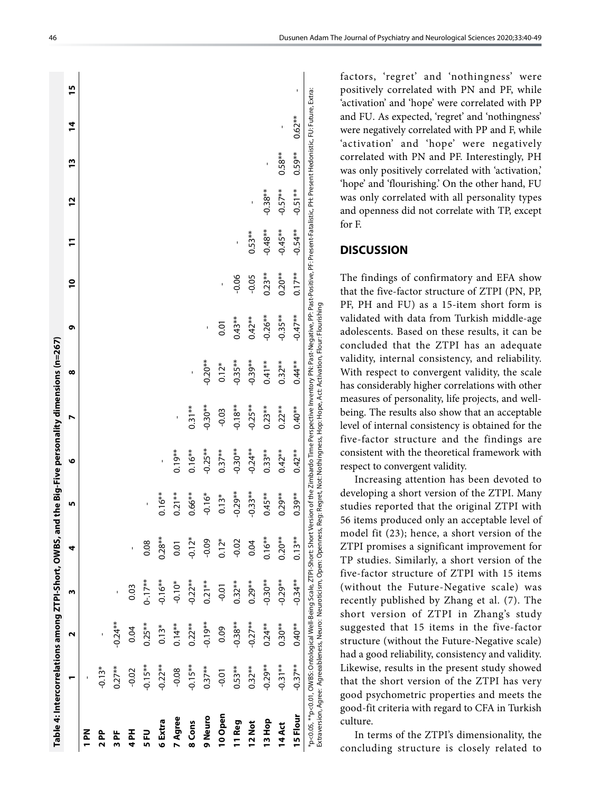|                     | Table 4: Intercorrelations among ZTPI-Short, OWBS, and the Big-Five personality dimensions (n=267)                                                                                                                     |           |            |              |            |           |           |                                                                                                                                                                 |            |                |              |            |           |           |    |
|---------------------|------------------------------------------------------------------------------------------------------------------------------------------------------------------------------------------------------------------------|-----------|------------|--------------|------------|-----------|-----------|-----------------------------------------------------------------------------------------------------------------------------------------------------------------|------------|----------------|--------------|------------|-----------|-----------|----|
|                     |                                                                                                                                                                                                                        | и         | w          | 4            | n          | ৩         | N         | ∞                                                                                                                                                               | ۰          | $\overline{a}$ | $\mathbf{r}$ | <u>72</u>  | 13        | 14        | 15 |
| N<br>PN             |                                                                                                                                                                                                                        |           |            |              |            |           |           |                                                                                                                                                                 |            |                |              |            |           |           |    |
| 2 PP                | $-0.13*$                                                                                                                                                                                                               | ı         |            |              |            |           |           |                                                                                                                                                                 |            |                |              |            |           |           |    |
| 눕<br>$\overline{m}$ | $0.27***$                                                                                                                                                                                                              | $-0.24**$ |            |              |            |           |           |                                                                                                                                                                 |            |                |              |            |           |           |    |
| Hd 4                | $-0.02$                                                                                                                                                                                                                | 0.04      | 0.03       | $\mathbf{I}$ |            |           |           |                                                                                                                                                                 |            |                |              |            |           |           |    |
| 5 FU                | $-0.15**$                                                                                                                                                                                                              | $0.25**$  | $0 - 17**$ | 0.08         | ı          |           |           |                                                                                                                                                                 |            |                |              |            |           |           |    |
| 6 Extra             | $-0.22**$                                                                                                                                                                                                              | $0.13*$   | $-0.16***$ | $0.28***$    | $0.16***$  | ı         |           |                                                                                                                                                                 |            |                |              |            |           |           |    |
| 7 Agree             | $-0.08$                                                                                                                                                                                                                | $0.14**$  | $-0.10*$   | 0.01         | $0.21***$  | $0.19***$ | ı         |                                                                                                                                                                 |            |                |              |            |           |           |    |
| 8 Cons              | $-0.15**$                                                                                                                                                                                                              | $0.22***$ | $-0.22**$  | $-0.12*$     | $0.66***$  | $0.16**$  | $0.31***$ | ı                                                                                                                                                               |            |                |              |            |           |           |    |
| 9 Neuro             | $0.37***$                                                                                                                                                                                                              | $-0.19**$ | $0.21***$  | $-0.09$      | $-0.16*$   | $-0.25**$ | $-0.30**$ | $-0.20***$                                                                                                                                                      | ı          |                |              |            |           |           |    |
| 10 Open             | $-0.01$                                                                                                                                                                                                                | 0.09      | $-0.01$    | $0.12*$      | $0.13*$    | $0.37***$ | $-0.03$   | $0.12*$                                                                                                                                                         | 5.01       |                |              |            |           |           |    |
| I1 Reg              | $0.53***$                                                                                                                                                                                                              | $-0.38**$ | $0.32***$  | $-0.02$      | $-0.29***$ | $-0.30**$ | $-0.18**$ | $-0.35***$                                                                                                                                                      | $0.43**$   | $-0.06$        |              |            |           |           |    |
| 12 Not              | $0.32***$                                                                                                                                                                                                              | $-0.27**$ | $0.29**$   | 0.04         | $-0.33**$  | $-0.24**$ | $-0.25**$ | $-0.39**$                                                                                                                                                       | $0.42**$   | $-0.05$        | $0.53**$     | ï          |           |           |    |
| 13 Hop              | $-0.29**$                                                                                                                                                                                                              | $0.24***$ | $-0.30**$  | $0.16***$    | $0.45***$  | $0.33**$  | $0.23**$  | $0.41**$                                                                                                                                                        | $-0.26**$  | $0.23**$       | $-0.48**$    | $-0.38***$ |           |           |    |
| 14 Act              | $-0.31**$                                                                                                                                                                                                              | $0.30**$  | $-0.29***$ | $0.20***$    | $0.29***$  | $0.42***$ | $0.22***$ | $0.32***$                                                                                                                                                       | $-0.35***$ | $0.20***$      | $-0.45**$    | $-0.57***$ | $0.58**$  |           |    |
| 15 Flour            | $-0.37**$                                                                                                                                                                                                              | $0.40**$  | $-0.34**$  | $0.13**$     | $0.39***$  | $0.42**$  | $0.40**$  | $0.44**$                                                                                                                                                        | $-0.47**$  | $0.17***$      | $-0.54**$    | $-0.51**$  | $0.59***$ | $0.62***$ | ı  |
|                     | Extraversion, Agree: Agreeableness, Neuro: Neuroticism, Open: Openness, Reg: Regret, Not: Indiness, Hop: Hope, Activation, Flour: Flourishing<br>*p<0.05, **p<0.01, OWBS: Ontological Well-Being Scale, ZTPI-Short: Sh |           |            |              |            |           |           | ort Version of the Zimbardo Time Perspective Inventory PN: Past-Negative, PP: Past-Positive, PF: Present-Fatalistic, PH: Present Hedonistic, FU: Future, Extra: |            |                |              |            |           |           |    |

factors, 'regret' and 'nothingness' were positively correlated with PN and PF, while 'activation' and 'hope' were correlated with PP and F U. As expected, 'regret' and 'nothingness' were negatively correlated with PP and F, while 'activation' and 'hope' were negatively correlated with PN and PF. Interestingly, PH was only positively correlated with 'activation,' 'hope' and 'flourishing.' On the other hand, F U was only correlated with all personality types and openness did not correlate with TP, except for F.

## **DISCUSSION**

 $\overline{\phantom{a}}$ 

The findings of confirmatory and EFA show that the five-factor structure of ZTPI (PN, PP, PF, PH and F U) as a 15-item short form is validated with data from Turkish middle-age adolescents. Based on these results, it can be concluded that the ZTPI has an adequate validity, internal consistency, and reliability. With respect to convergent validity, the scale has considerably higher correlations with other measures of personality, life projects, and wellbeing. The results also show that an acceptable level of internal consistency is obtained for the five-factor structure and the findings are consistent with the theoretical framework with respect to convergent validity.

Increasing attention has been devoted to developing a short version of the ZTPI. Many studies reported that the original ZTPI with 56 items produced only an acceptable level of model fit (23); hence, a short version of the ZTPI promises a significant improvement for TP studies. Similarly, a short version of the five-factor structure of ZTPI with 15 items (without the Future-Negative scale) was recently published by Zhang et al. (7). The short version of ZTPI in Zhang's study suggested that 15 items in the five-factor structure (without the Future-Negative scale) had a good reliability, consistency and validity. Likewise, results in the present study showed that the short version of the ZTPI has very good psychometric properties and meets the good-fit criteria with regard to CFA in Turkish culture.

In terms of the ZTPI's dimensionality, the concluding structure is closely related to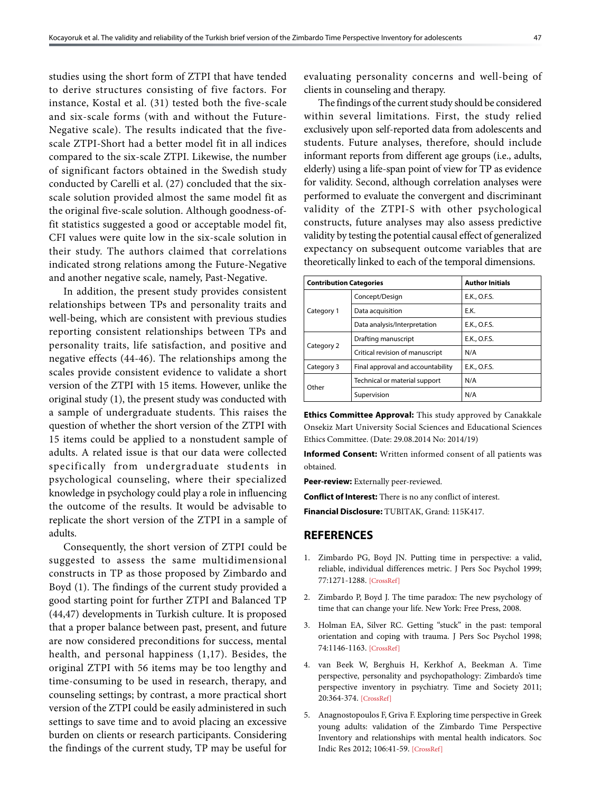studies using the short form of ZTPI that have tended to derive structures consisting of five factors. For instance, Kostal et al. (31) tested both the five-scale and six-scale forms (with and without the Future-Negative scale). The results indicated that the fivescale ZTPI-Short had a better model fit in all indices compared to the six-scale ZTPI. Likewise, the number of significant factors obtained in the Swedish study conducted by Carelli et al. (27) concluded that the sixscale solution provided almost the same model fit as the original five-scale solution. Although goodness-offit statistics suggested a good or acceptable model fit, CFI values were quite low in the six-scale solution in their study. The authors claimed that correlations indicated strong relations among the Future-Negative and another negative scale, namely, Past-Negative.

In addition, the present study provides consistent relationships between TPs and personality traits and well-being, which are consistent with previous studies reporting consistent relationships between TPs and personality traits, life satisfaction, and positive and negative effects (44-46). The relationships among the scales provide consistent evidence to validate a short version of the ZTPI with 15 items. However, unlike the original study (1), the present study was conducted with a sample of undergraduate students. This raises the question of whether the short version of the ZTPI with 15 items could be applied to a nonstudent sample of adults. A related issue is that our data were collected specifically from undergraduate students in psychological counseling, where their specialized knowledge in psychology could play a role in influencing the outcome of the results. It would be advisable to replicate the short version of the ZTPI in a sample of adults.

Consequently, the short version of ZTPI could be suggested to assess the same multidimensional constructs in TP as those proposed by Zimbardo and Boyd (1). The findings of the current study provided a good starting point for further ZTPI and Balanced TP (44,47) developments in Turkish culture. It is proposed that a proper balance between past, present, and future are now considered preconditions for success, mental health, and personal happiness (1,17). Besides, the original ZTPI with 56 items may be too lengthy and time-consuming to be used in research, therapy, and counseling settings; by contrast, a more practical short version of the ZTPI could be easily administered in such settings to save time and to avoid placing an excessive burden on clients or research participants. Considering the findings of the current study, TP may be useful for

evaluating personality concerns and well-being of clients in counseling and therapy.

The findings of the current study should be considered within several limitations. First, the study relied exclusively upon self-reported data from adolescents and students. Future analyses, therefore, should include informant reports from different age groups (i.e., adults, elderly) using a life-span point of view for TP as evidence for validity. Second, although correlation analyses were performed to evaluate the convergent and discriminant validity of the ZTPI-S with other psychological constructs, future analyses may also assess predictive validity by testing the potential causal effect of generalized expectancy on subsequent outcome variables that are theoretically linked to each of the temporal dimensions.

| <b>Contribution Categories</b> |                                   | <b>Author Initials</b> |
|--------------------------------|-----------------------------------|------------------------|
|                                | Concept/Design                    | E.K., O.F.S.           |
| Category 1                     | Data acquisition                  | E.K.                   |
|                                | Data analysis/Interpretation      | E.K., O.F.S.           |
|                                | Drafting manuscript               | E.K., O.F.S.           |
| Category 2                     | Critical revision of manuscript   | N/A                    |
| Category 3                     | Final approval and accountability | E.K., O.F.S.           |
| Other                          | Technical or material support     | N/A                    |
|                                | Supervision                       | N/A                    |

**Ethics Committee Approval:** This study approved by Canakkale Onsekiz Mart University Social Sciences and Educational Sciences Ethics Committee. (Date: 29.08.2014 No: 2014/19)

**Informed Consent:** Written informed consent of all patients was obtained.

**Peer-review:** Externally peer-reviewed.

**Conflict of Interest:** There is no any conflict of interest.

**Financial Disclosure:** TUBITAK, Grand: 115K417.

#### **REFERENCES**

- 1. Zimbardo PG, Boyd JN. Putting time in perspective: a valid, reliable, individual differences metric. J Pers Soc Psychol 1999; 77:1271-1288. [\[CrossRef\]](https://doi.org/10.1037/0022-3514.77.6.1271)
- 2. Zimbardo P, Boyd J. The time paradox: The new psychology of time that can change your life. New York: Free Press, 2008.
- 3. Holman EA, Silver RC. Getting "stuck" in the past: temporal orientation and coping with trauma. J Pers Soc Psychol 1998; 74:1146-116[3. \[CrossRef\]](https://doi.org/10.1037/0022-3514.74.5.1146)
- 4. van Beek W, Berghuis H, Kerkhof A, Beekman A. Time perspective, personality and psychopathology: Zimbardo's time perspective inventory in psychiatry. Time and Society 2011; 20:364-374. [\[CrossRef\]](https://doi.org/10.1177/0961463X10373960)
- 5. Anagnostopoulos F, Griva F. Exploring time perspective in Greek young adults: validation of the Zimbardo Time Perspective Inventory and relationships with mental health indicators. Soc Indic Res 2012; 106:41-59[. \[CrossRef\]](https://doi.org/10.1007/s11205-011-9792-y)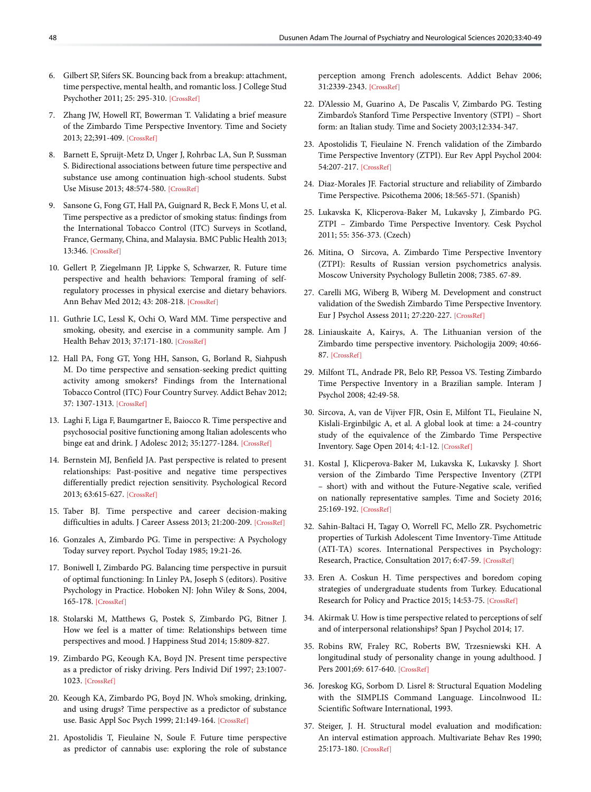- 6. Gilbert SP, Sifers SK. Bouncing back from a breakup: attachment, time perspective, mental health, and romantic loss. J College Stud Psychother 2011; 25: 295-310[. \[CrossRef\]](https://doi.org/10.1080/87568225.2011.605693)
- 7. Zhang JW, Howell RT, Bowerman T. Validating a brief measure of the Zimbardo Time Perspective Inventory. Time and Society 2013; 22;391-409[. \[CrossRef\]](https://doi.org/10.1177/0961463X12441174)
- 8. Barnett E, Spruijt-Metz D, Unger J, Rohrbac LA, Sun P, Sussman S. Bidirectional associations between future time perspective and substance use among continuation high-school students. Subst Use Misuse 2013; 48:574-580. [\[CrossRef\]](https://doi.org/10.3109/10826084.2013.787092)
- 9. Sansone G, Fong GT, Hall PA, Guignard R, Beck F, Mons U, et al. Time perspective as a predictor of smoking status: findings from the International Tobacco Control (ITC) Surveys in Scotland, France, Germany, China, and Malaysia. BMC Public Health 2013; 13:346[. \[CrossRef\]](https://doi.org/10.1186/1471-2458-13-346)
- 10. Gellert P, Ziegelmann JP, Lippke S, Schwarzer, R. Future time perspective and health behaviors: Temporal framing of selfregulatory processes in physical exercise and dietary behaviors. Ann Behav Med 2012; 43: 208-218[. \[CrossRef\]](https://doi.org/10.1007/s12160-011-9312-y)
- 11. Guthrie LC, Lessl K, Ochi O, Ward MM. Time perspective and smoking, obesity, and exercise in a community sample. Am J Health Behav 2013; 37:171-18[0. \[CrossRef\]](https://doi.org/10.5993/AJHB.37.2.4)
- 12. Hall PA, Fong GT, Yong HH, Sanson, G, Borland R, Siahpush M. Do time perspective and sensation-seeking predict quitting activity among smokers? Findings from the International Tobacco Control (ITC) Four Country Survey. Addict Behav 2012; 37: 1307-1313. [\[CrossRef\]](https://doi.org/10.1016/j.addbeh.2012.06.022)
- 13. Laghi F, Liga F, Baumgartner E, Baiocco R. Time perspective and psychosocial positive functioning among Italian adolescents who binge eat and drink. J Adolesc 2012; 35:1277-128[4. \[CrossRef\]](https://doi.org/10.1016/j.adolescence.2012.04.014)
- 14. Bernstein MJ, Benfield JA. Past perspective is related to present relationships: Past-positive and negative time perspectives differentially predict rejection sensitivity. Psychological Record 2013; 63:615-627[. \[CrossRef\]](https://doi.org/10.11133/j.tpr.2013.63.3.014)
- 15. Taber BJ. Time perspective and career decision-making difficulties in adults. J Career Assess 2013; 21:200-209[. \[CrossRef\]](https://doi.org/10.1177/1069072712466722)
- 16. Gonzales A, Zimbardo PG. Time in perspective: A Psychology Today survey report. Psychol Today 1985; 19:21-26.
- 17. Boniwell I, Zimbardo PG. Balancing time perspective in pursuit of optimal functioning: In Linley PA, Joseph S (editors). Positive Psychology in Practice. Hoboken NJ: John Wiley & Sons, 2004, 165-178[. \[CrossRef\]](https://doi.org/10.1002/9780470939338.ch10)
- 18. Stolarski M, Matthews G, Postek S, Zimbardo PG, Bitner J. How we feel is a matter of time: Relationships between time perspectives and mood. [J Happiness Stud 2014; 15:809-827.](https://doi.org/10.1007/s10902-013-9450-y)
- 19. Zimbardo PG, Keough KA, Boyd JN. Present time perspective as a predictor of risky driving. Pers Individ Dif 1997; 23:1007- 1023. [\[CrossRef\]](https://doi.org/10.1016/S0191-8869(97)00113-X)
- 20. Keough KA, Zimbardo PG, Boyd JN. Who's smoking, drinking, and using drugs? Time perspective as a predictor of substance use. Basic Appl Soc Psych 1999; 21:149-164[. \[CrossRef\]](https://doi.org/10.1207/S15324834BA210207)
- 21. Apostolidis T, Fieulaine N, Soule F. Future time perspective as predictor of cannabis use: exploring the role of substance

perception among French adolescents. Addict Behav 2006; 31:2339-2343[. \[CrossRef\]](https://doi.org/10.1016/j.addbeh.2006.03.008)

- 22. D'Alessio M, Guarino A, De Pascalis V, Zimbardo PG. Testing Zimbardo's Stanford Time Perspective Inventory (STPI) – Short form: an Italian study. [Time and Society 2003;12:334-347.](https://doi.org/10.1177/0961463X030122010)
- 23. Apostolidis T, Fieulaine N. French validation of the Zimbardo Time Perspective Inventory (ZTPI). Eur Rev Appl Psychol 2004: 54:207-21[7. \[CrossRef\]](https://doi.org/10.1016/j.erap.2004.03.001)
- 24. Diaz-Morales JF. Factorial structure and reliability of Zimbardo Time Perspective. Psicothema 2006; 18:565-571. (Spanish)
- 25. Lukavska K, Klicperova-Baker M, Lukavsky J, Zimbardo PG. ZTPI – Zimbardo Time Perspective Inventory. Cesk Psychol 2011; 55: 356-373. (Czech)
- 26. Mitina, O Sircova, A. Zimbardo Time Perspective Inventory (ZTPI): Results of Russian version psychometrics analysis. Moscow University Psychology Bulletin 2008; 7385. 67-89.
- 27. Carelli MG, Wiberg B, Wiberg M. Development and construct validation of the Swedish Zimbardo Time Perspective Inventory. Eur J Psychol Assess 2011; 27:220-22[7. \[CrossRef\]](https://doi.org/10.1027/1015-5759/a000076)
- 28. Liniauskaite A, Kairys, A. The Lithuanian version of the Zimbardo time perspective inventory. Psichologija 2009; 40:66- 8[7. \[CrossRef\]](https://doi.org/10.15388/Psichol.2009.0.2585)
- 29. Milfont TL, Andrade PR, Belo RP, Pessoa VS. Testing Zimbardo Time Perspective Inventory in a Brazilian sample. Interam J Psychol 2008; 42:49-58.
- 30. Sircova, A, van de Vijver FJR, Osin E, Milfont TL, Fieulaine N, Kislali-Erginbilgic A, et al. A global look at time: a 24-country study of the equivalence of the Zimbardo Time Perspective Inventory. Sage Open 2014; 4:1-12. [\[CrossRef\]](https://doi.org/10.1177/2158244013515686)
- 31. Kostal J, Klicperova-Baker M, Lukavska K, Lukavsky J. Short version of the Zimbardo Time Perspective Inventory (ZTPI – short) with and without the Future-Negative scale, verified on nationally representative samples. Time and Society 2016; 25:169-19[2. \[CrossRef\]](https://doi.org/10.1177/0961463X15577254)
- 32. Sahin-Baltaci H, Tagay O, Worrell FC, Mello ZR. Psychometric properties of Turkish Adolescent Time Inventory-Time Attitude (ATI-TA) scores. International Perspectives in Psychology: Research, Practice, Consultation 2017; 6:47-5[9. \[CrossRef\]](https://doi.org/10.1037/ipp0000066)
- 33. Eren A. Coskun H. Time perspectives and boredom coping strategies of undergraduate students from Turkey. Educational Research for Policy and Practice 2015; 14:53-7[5. \[CrossRef\]](https://doi.org/10.1007/s10671-014-9165-9)
- 34. Akirmak U. How is time perspective related to perceptions of self and of interpersonal relationship[s? Span J Psychol 2014; 17.](https://doi.org/10.1017/sjp.2014.92)
- 35. Robins RW, Fraley RC, Roberts BW, Trzesniewski KH. A longitudinal study of personality change in young adulthood. J Pers 2001;69: 617-640[. \[CrossRef\]](https://doi.org/10.1111/1467-6494.694157)
- 36. Joreskog KG, Sorbom D. Lisrel 8: Structural Equation Modeling with the SIMPLIS Command Language. Lincolnwood IL: Scientific Software International, 1993.
- 37. Steiger, J. H. Structural model evaluation and modification: An interval estimation approach. Multivariate Behav Res 1990; 25:173-180[. \[CrossRef\]](https://doi.org/10.1207/s15327906mbr2502_4)